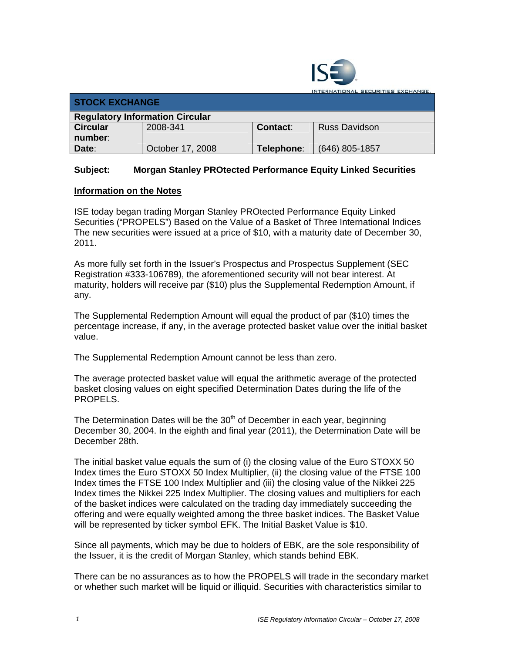

INTERNATIONAL SECURITIES EXCHANGE.

| <b>STOCK EXCHANGE</b>                  |                  |            |                      |  |
|----------------------------------------|------------------|------------|----------------------|--|
| <b>Regulatory Information Circular</b> |                  |            |                      |  |
| <b>Circular</b>                        | 2008-341         | Contact:   | <b>Russ Davidson</b> |  |
| number:                                |                  |            |                      |  |
| Date:                                  | October 17, 2008 | Telephone: | (646) 805-1857       |  |

## **Subject: Morgan Stanley PROtected Performance Equity Linked Securities**

## **Information on the Notes**

ISE today began trading Morgan Stanley PROtected Performance Equity Linked Securities ("PROPELS") Based on the Value of a Basket of Three International Indices The new securities were issued at a price of \$10, with a maturity date of December 30, 2011.

As more fully set forth in the Issuer's Prospectus and Prospectus Supplement (SEC Registration #333-106789), the aforementioned security will not bear interest. At maturity, holders will receive par (\$10) plus the Supplemental Redemption Amount, if any.

The Supplemental Redemption Amount will equal the product of par (\$10) times the percentage increase, if any, in the average protected basket value over the initial basket value.

The Supplemental Redemption Amount cannot be less than zero.

The average protected basket value will equal the arithmetic average of the protected basket closing values on eight specified Determination Dates during the life of the PROPELS.

The Determination Dates will be the 30<sup>th</sup> of December in each year, beginning December 30, 2004. In the eighth and final year (2011), the Determination Date will be December 28th.

The initial basket value equals the sum of (i) the closing value of the Euro STOXX 50 Index times the Euro STOXX 50 Index Multiplier, (ii) the closing value of the FTSE 100 Index times the FTSE 100 Index Multiplier and (iii) the closing value of the Nikkei 225 Index times the Nikkei 225 Index Multiplier. The closing values and multipliers for each of the basket indices were calculated on the trading day immediately succeeding the offering and were equally weighted among the three basket indices. The Basket Value will be represented by ticker symbol EFK. The Initial Basket Value is \$10.

Since all payments, which may be due to holders of EBK, are the sole responsibility of the Issuer, it is the credit of Morgan Stanley, which stands behind EBK.

There can be no assurances as to how the PROPELS will trade in the secondary market or whether such market will be liquid or illiquid. Securities with characteristics similar to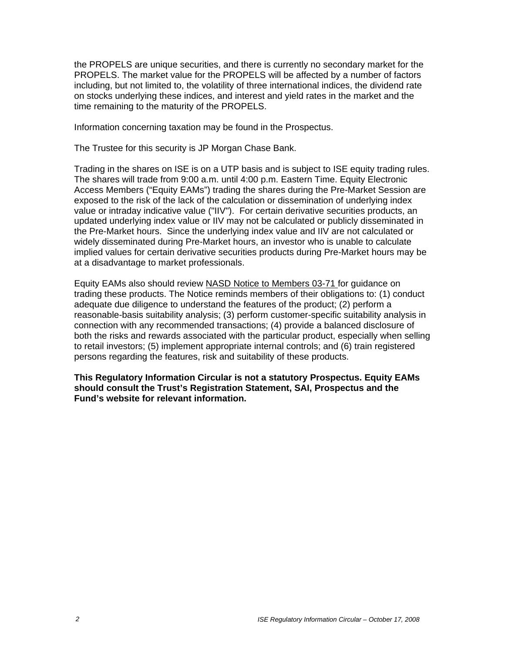the PROPELS are unique securities, and there is currently no secondary market for the PROPELS. The market value for the PROPELS will be affected by a number of factors including, but not limited to, the volatility of three international indices, the dividend rate on stocks underlying these indices, and interest and yield rates in the market and the time remaining to the maturity of the PROPELS.

Information concerning taxation may be found in the Prospectus.

The Trustee for this security is JP Morgan Chase Bank.

Trading in the shares on ISE is on a UTP basis and is subject to ISE equity trading rules. The shares will trade from 9:00 a.m. until 4:00 p.m. Eastern Time. Equity Electronic Access Members ("Equity EAMs") trading the shares during the Pre-Market Session are exposed to the risk of the lack of the calculation or dissemination of underlying index value or intraday indicative value ("IIV"). For certain derivative securities products, an updated underlying index value or IIV may not be calculated or publicly disseminated in the Pre-Market hours. Since the underlying index value and IIV are not calculated or widely disseminated during Pre-Market hours, an investor who is unable to calculate implied values for certain derivative securities products during Pre-Market hours may be at a disadvantage to market professionals.

Equity EAMs also should review NASD Notice to Members 03-71 for guidance on trading these products. The Notice reminds members of their obligations to: (1) conduct adequate due diligence to understand the features of the product; (2) perform a reasonable-basis suitability analysis; (3) perform customer-specific suitability analysis in connection with any recommended transactions; (4) provide a balanced disclosure of both the risks and rewards associated with the particular product, especially when selling to retail investors; (5) implement appropriate internal controls; and (6) train registered persons regarding the features, risk and suitability of these products.

**This Regulatory Information Circular is not a statutory Prospectus. Equity EAMs should consult the Trust's Registration Statement, SAI, Prospectus and the Fund's website for relevant information.**